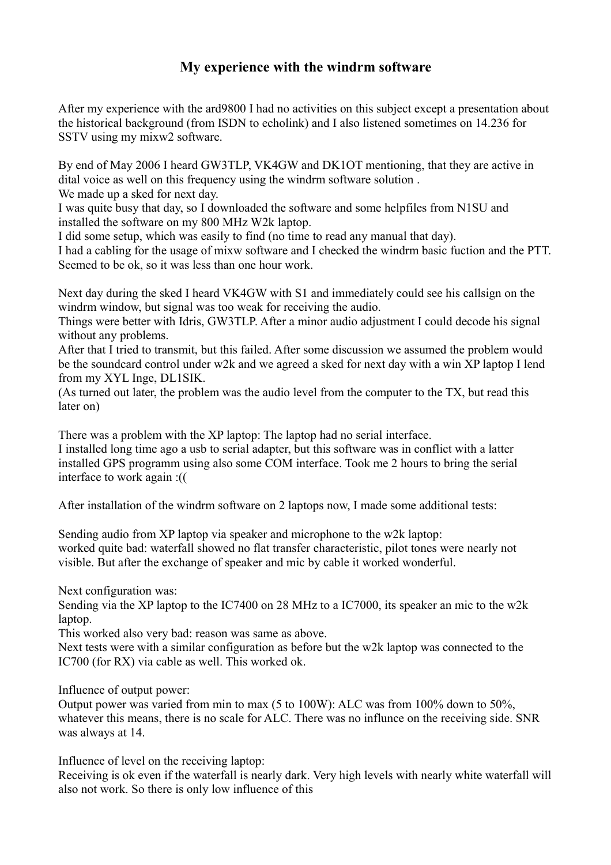## **My experience with the windrm software**

After my experience with the ard9800 I had no activities on this subject except a presentation about the historical background (from ISDN to echolink) and I also listened sometimes on 14.236 for SSTV using my mixw2 software.

By end of May 2006 I heard GW3TLP, VK4GW and DK1OT mentioning, that they are active in dital voice as well on this frequency using the windrm software solution .

We made up a sked for next day.

I was quite busy that day, so I downloaded the software and some helpfiles from N1SU and installed the software on my 800 MHz W2k laptop.

I did some setup, which was easily to find (no time to read any manual that day).

I had a cabling for the usage of mixw software and I checked the windrm basic fuction and the PTT. Seemed to be ok, so it was less than one hour work.

Next day during the sked I heard VK4GW with S1 and immediately could see his callsign on the windrm window, but signal was too weak for receiving the audio.

Things were better with Idris, GW3TLP. After a minor audio adjustment I could decode his signal without any problems.

After that I tried to transmit, but this failed. After some discussion we assumed the problem would be the soundcard control under w2k and we agreed a sked for next day with a win XP laptop I lend from my XYL Inge, DL1SIK.

(As turned out later, the problem was the audio level from the computer to the TX, but read this later on)

There was a problem with the XP laptop: The laptop had no serial interface. I installed long time ago a usb to serial adapter, but this software was in conflict with a latter installed GPS programm using also some COM interface. Took me 2 hours to bring the serial interface to work again :((

After installation of the windrm software on 2 laptops now, I made some additional tests:

Sending audio from XP laptop via speaker and microphone to the w2k laptop: worked quite bad: waterfall showed no flat transfer characteristic, pilot tones were nearly not visible. But after the exchange of speaker and mic by cable it worked wonderful.

Next configuration was:

Sending via the XP laptop to the IC7400 on 28 MHz to a IC7000, its speaker an mic to the w2k laptop.

This worked also very bad: reason was same as above.

Next tests were with a similar configuration as before but the w2k laptop was connected to the IC700 (for RX) via cable as well. This worked ok.

Influence of output power:

Output power was varied from min to max (5 to 100W): ALC was from 100% down to 50%, whatever this means, there is no scale for ALC. There was no influnce on the receiving side. SNR was always at 14.

Influence of level on the receiving laptop:

Receiving is ok even if the waterfall is nearly dark. Very high levels with nearly white waterfall will also not work. So there is only low influence of this